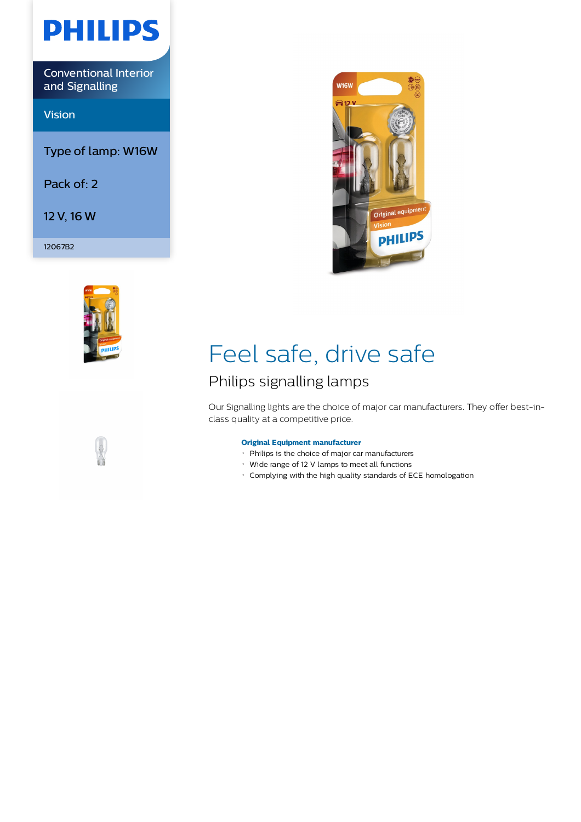

Conventional Interior and Signalling

Vision

Type of lamp: W16W

Pack of: 2

12 V, 16 W

12067B2





# Feel safe, drive safe

## Philips signalling lamps

Our Signalling lights are the choice of major car manufacturers. They offer best-inclass quality at a competitive price.

### **Original Equipment manufacturer**

- Philips is the choice of major car manufacturers
- Wide range of 12 V lamps to meet all functions
- Complying with the high quality standards of ECE homologation